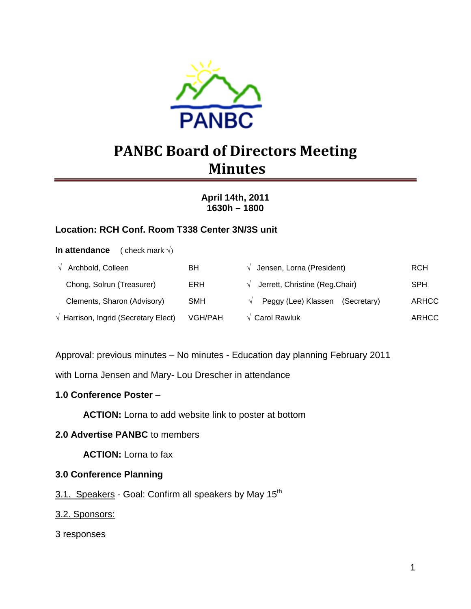

# **PANBC Board of Directors Meeting Minutes**

**April 14th, 2011 1630h – 1800** 

## **Location: RCH Conf. Room T338 Center 3N/3S unit**

**In attendance** ( check mark √)

| $\sqrt{ }$ Archbold, Colleen                  | BH         | $\sqrt{\phantom{a}}$ Jensen, Lorna (President)      | <b>RCH</b>   |
|-----------------------------------------------|------------|-----------------------------------------------------|--------------|
| Chong, Solrun (Treasurer)                     | <b>ERH</b> | $\sqrt{\phantom{a}}$ Jerrett, Christine (Reg.Chair) | <b>SPH</b>   |
| Clements, Sharon (Advisory)                   | <b>SMH</b> | Peggy (Lee) Klassen (Secretary)                     | ARHCC        |
| $\sqrt{ }$ Harrison, Ingrid (Secretary Elect) | VGH/PAH    | $\sqrt{\phantom{a}}$ Carol Rawluk                   | <b>ARHCC</b> |

Approval: previous minutes – No minutes - Education day planning February 2011

with Lorna Jensen and Mary- Lou Drescher in attendance

#### **1.0 Conference Poster** –

**ACTION:** Lorna to add website link to poster at bottom

#### **2.0 Advertise PANBC** to members

 **ACTION:** Lorna to fax

#### **3.0 Conference Planning**

3.1. Speakers - Goal: Confirm all speakers by May 15<sup>th</sup>

#### 3.2. Sponsors:

3 responses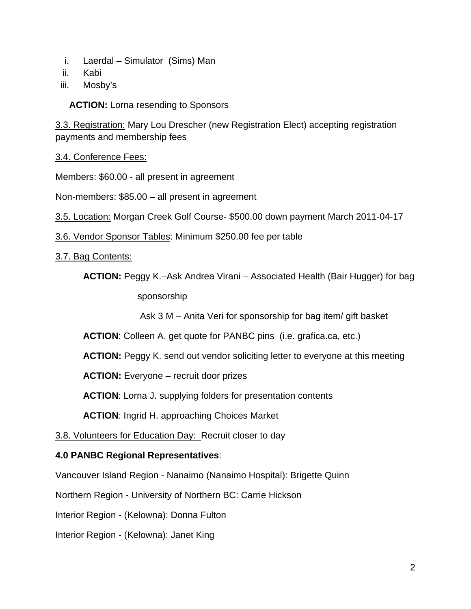- i. Laerdal Simulator (Sims) Man
- ii. Kabi
- iii. Mosby's

**ACTION:** Lorna resending to Sponsors

3.3. Registration: Mary Lou Drescher (new Registration Elect) accepting registration payments and membership fees

3.4. Conference Fees:

Members: \$60.00 - all present in agreement

Non-members: \$85.00 – all present in agreement

- 3.5. Location: Morgan Creek Golf Course- \$500.00 down payment March 2011-04-17
- 3.6. Vendor Sponsor Tables: Minimum \$250.00 fee per table
- 3.7. Bag Contents:

**ACTION:** Peggy K.–Ask Andrea Virani – Associated Health (Bair Hugger) for bag sponsorship

Ask 3 M – Anita Veri for sponsorship for bag item/ gift basket

**ACTION**: Colleen A. get quote for PANBC pins (i.e. grafica.ca, etc.)

**ACTION:** Peggy K. send out vendor soliciting letter to everyone at this meeting

**ACTION:** Everyone – recruit door prizes

**ACTION**: Lorna J. supplying folders for presentation contents

**ACTION**: Ingrid H. approaching Choices Market

3.8. Volunteers for Education Day: Recruit closer to day

#### **4.0 PANBC Regional Representatives**:

Vancouver Island Region - Nanaimo (Nanaimo Hospital): Brigette Quinn

Northern Region - University of Northern BC: Carrie Hickson

Interior Region - (Kelowna): Donna Fulton

Interior Region - (Kelowna): Janet King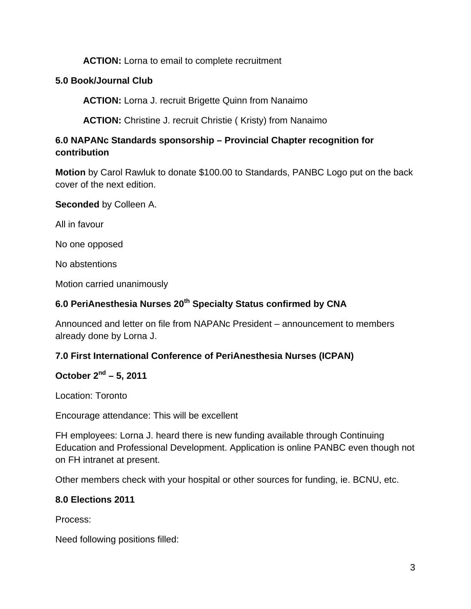## **ACTION:** Lorna to email to complete recruitment

## **5.0 Book/Journal Club**

**ACTION:** Lorna J. recruit Brigette Quinn from Nanaimo

**ACTION:** Christine J. recruit Christie ( Kristy) from Nanaimo

## **6.0 NAPANc Standards sponsorship – Provincial Chapter recognition for contribution**

**Motion** by Carol Rawluk to donate \$100.00 to Standards, PANBC Logo put on the back cover of the next edition.

**Seconded** by Colleen A.

All in favour

No one opposed

No abstentions

Motion carried unanimously

## **6.0 PeriAnesthesia Nurses 20th Specialty Status confirmed by CNA**

Announced and letter on file from NAPANc President – announcement to members already done by Lorna J.

#### **7.0 First International Conference of PeriAnesthesia Nurses (ICPAN)**

## **October 2nd – 5, 2011**

Location: Toronto

Encourage attendance: This will be excellent

FH employees: Lorna J. heard there is new funding available through Continuing Education and Professional Development. Application is online PANBC even though not on FH intranet at present.

Other members check with your hospital or other sources for funding, ie. BCNU, etc.

#### **8.0 Elections 2011**

Process:

Need following positions filled: